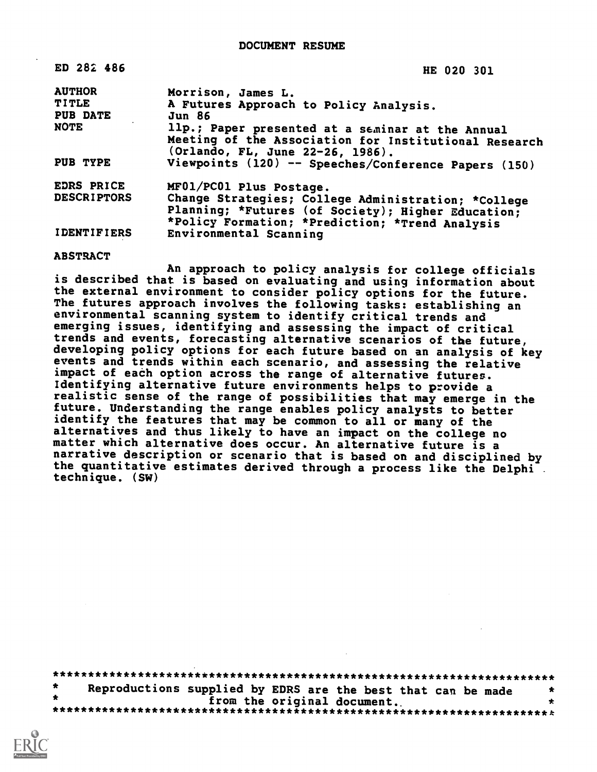| ED 282 486                      | HE 020 301                                                                                                                                                   |
|---------------------------------|--------------------------------------------------------------------------------------------------------------------------------------------------------------|
| <b>AUTHOR</b>                   | Morrison, James L.                                                                                                                                           |
| <b>TITLE</b><br><b>PUB DATE</b> | A Futures Approach to Policy Analysis.<br><b>Jun 86</b>                                                                                                      |
| <b>NOTE</b>                     | llp.; Paper presented at a seminar at the Annual<br>Meeting of the Association for Institutional Research<br>(Orlando, FL, June 22-26, 1986).                |
| PUB TYPE                        | Viewpoints (120) -- Speeches/Conference Papers (150)                                                                                                         |
| EDRS PRICE                      | MF01/PC01 Plus Postage.                                                                                                                                      |
| <b>DESCRIPTORS</b>              | Change Strategies; College Administration; *College<br>Planning; *Futures (of Society); Higher Education;<br>*Policy Formation; *Prediction; *Trend Analysis |
| <b>IDENTIFIERS</b>              | Environmental Scanning                                                                                                                                       |

**ABSTRACT** 

An approach to policy analysis for college officials is described that is based on evaluating and using information about the external environment to consider policy options for the future. The futures approach involves the following tasks: establishing an environmental scanning system to identify critical trends and emerging issues, identifying and assessing the impact of critical trends and events, forecasting alternative scenarios of the future, developing policy options for each future based on an analysis of key events and trends within each scenario, and assessing the relative impact of each option across the range of alternative futures. Identifying alternative future environments helps to provide a realistic sense of the range of possibilities that may emerge in the future. Understanding the range enables policy analysts to better identify the features that may be common to all or many of the alternatives and thus likely to have an impact on the college no matter which alternative does occur. An alternative future is a narrative description or scenario that is based on and disciplined by the quantitative estimates derived through a process like the Delphi. technique. (SW)

 $\bullet$ Reproductions supplied by EDRS are the best that can be made from the original document.  $\star$ 

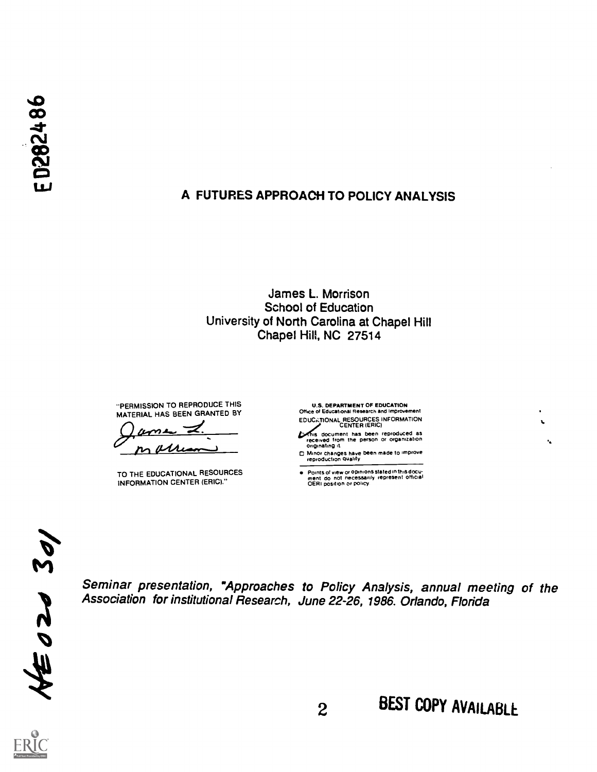### A FUTURES APPROACH TO POLICY ANALYSIS

#### James L. Morrison **School of Education** University of North Carolina at Chapel Hill Chapel Hill, NC 27514

"PERMISSION TO REPRODUCE THIS MATERIAL HAS BEEN GRANTED BY

AΛ

TO THE EDUCATIONAL RESOURCES **INFORMATION CENTER (ERIC)."** 

**U.S. DEPARTMENT OF EDUCATION** Office of Educational Research and Improvement EDUCATIONAL RESOURCES INFORMATION<br>CENTER (ERIC)

CENTER (ERIC)<br>received from thes been reproduced as<br>originating it.<br>originating it.

□ Minor changes have been made to improve<br>reproduction quality

Points of view or opinions stated in this document do not inecessarily represent official<br>ment do not inecessarily represent official<br>OERI position or policy,  $\bullet$ 

 $M=02030$ 

Seminar presentation, "Approaches to Policy Analysis, annual meeting of the Association for institutional Research, June 22-26, 1986. Orlando, Florida



 $\cdot$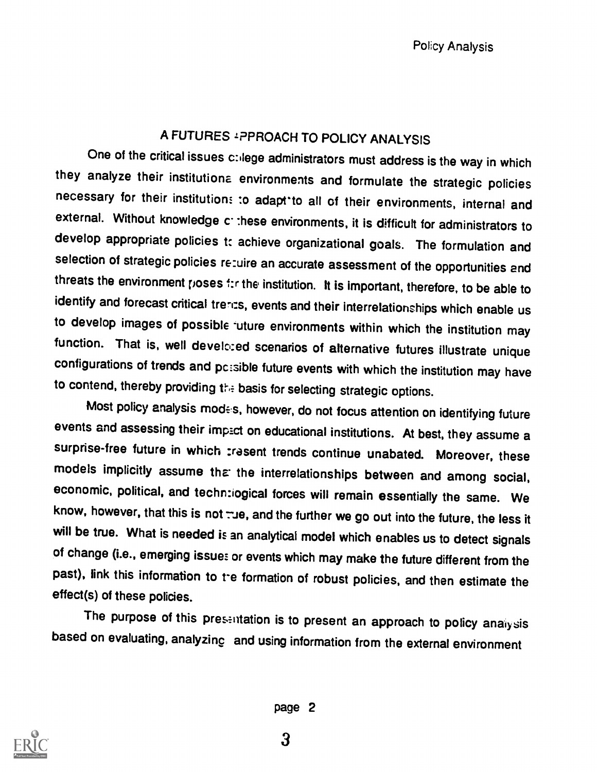# A FUTURES 1PPROACH TO POLICY ANALYSIS

One of the critical issues c: lege administrators must address is the way in which they analyze their institutiona environments and formulate the strategic policies necessary for their institution: :o adapt-to all of their environments, internal and external. Without knowledge conthese environments, it is difficult for administrators to develop appropriate policies t: achieve organizational goals. The formulation and selection of strategic policies re:uire an accurate assessment of the opportunities end threats the environment poses 1:r the institution. It is important, therefore, to be able to identify and forecast critical trents, events and their interrelationships which enable us to develop images of possible -uture environments within which the institution may function. That is, well develced scenarios of alternative futures illustrate unique configurations of trends and pc:sible future events with which the institution may have to contend, thereby providing the basis for selecting strategic options.

Most policy analysis modes, however, do not focus attention on identifying future events and assessing their impict on educational institutions. At best, they assume <sup>a</sup> surprise-free future in which trasent trends continue unabated. Moreover, these models implicitly assume that the interrelationships between and among social, economic, political, and techn:iogical forces will remain essentially the same. We know, however, that this is not : ue, and the further we go out into the future, the less it will be true. What is needed is an analytical model which enables us to detect signals of change (i.e., emerging issue: or events which may make the future different from the past), link this information to te formation of robust policies, and then estimate the effect(s) of these policies.

The purpose of this presentation is to present an approach to policy analysis based on evaluating, analyzing and using information from the external environment

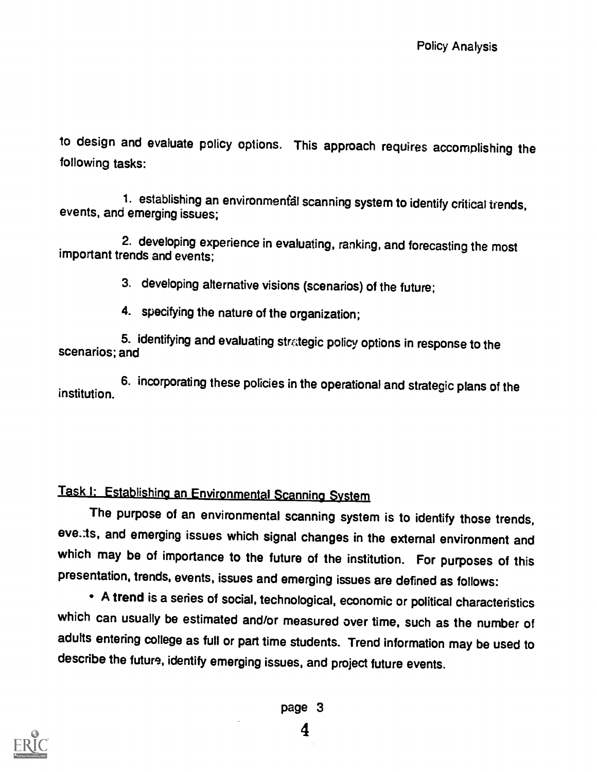to design and evaluate policy options. This approach requires accomplishing the following tasks:

1. establishing an environmental scanning system to identify critical trends, events, and emerging issues;

2. developing experience in evaluating, ranking, and forecasting the most important trends and events;

3. developing alternative visions (scenarios) of the future;

4. specifying the nature of the organization;

5. identifying and evaluating strategic policy options in response to the scenarios; and

6. incorporating these policies in the operational and strategic plans of the institution.

# Task I: Establishing an Environmental Scanning System

The purpose of an environmental scanning system is to identify those trends, eve.:ts, and emerging issues which signal changes in the external environment and which may be of importance to the future of the institution. For purposes of this presentation, trends, events, issues and emerging issues are defined as follows:

- A trend is a series of social, technological, economic or political characteristics which can usually be estimated and/or measured over time, such as the number of adults entering college as full or part time students. Trend information may be used to describe the future, identify emerging issues, and project future events.



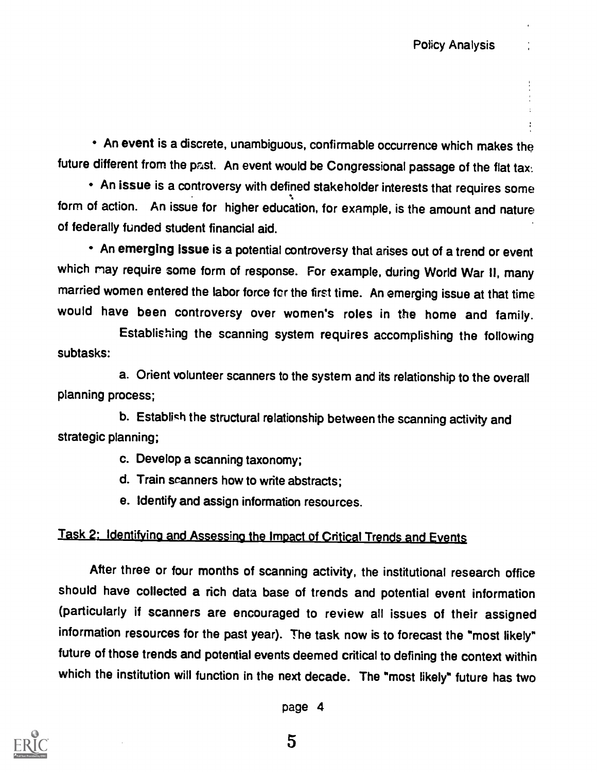An event is a discrete, unambiguous, confirmable occurrence which makes the future different from the past. An event would be Congressional passage of the flat tax.

An issue is a controversy with defined stakeholder interests that requires some form of action. An issue for higher education, for example, is the amount and nature of federally funded student financial aid.

An emerging issue is a potential controversy that arises out of a trend or event which may require some form of response. For example, during World War II, many married women entered the labor force fcr the first time. An emerging issue at that time would have been controversy over women's roles in the home and family.

Establishing the scanning system requires accomplishing the following subtasks:

a. Orient volunteer scanners to the system and its relationship to the overall planning process;

b. Establish the structural relationship between the scanning activity and strategic planning;

c. Develop a scanning taxonomy;

d. Train scanners how to write abstracts;

e. Identify and assign information resources.

#### Task 2: Identifying and Assessing the Impact of Critical Trends and Events

After three or four months of scanning activity, the institutional research office should have collected a rich data base of trends and potential event information (particularly if scanners are encouraged to review all issues of their assigned information resources for the past year). The task now is to forecast the "most likely" future of those trends and potential events deemed critical to defining the context within which the institution will function in the next decade. The "most likely" future has two

page 4

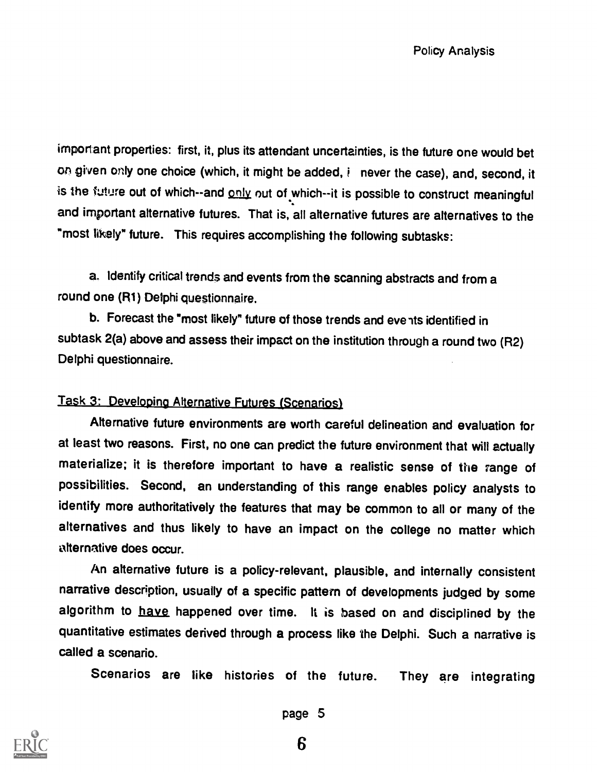important properties: first, it, plus its attendant uncertainties, is the future one would bet on given only one choice (which, it might be added, i never the case), and, second, it is the future out of which--and only out of which--it is possible to construct meaningful and important alternative futures. That is, all alternative futures are alternatives to the "most likely" future. This requires accomplishing the following subtasks:

a. Identify critical trends and events from the scanning abstracts and from a round one (R1) Delphi questionnaire.

b. Forecast the "most likely" future of those trends and eve its identified in subtask 2(a) above and assess their impact on the institution through a round two (R2) Delphi questionnaire.

#### Task 3: Developing Alternative Futures (Scenarios).

Alternative future environments are worth careful delineation and evaluation for at least two reasons. First, no one can predict the future environment that will actually materialize; it is therefore important to have a realistic sense of the range of possibilities. Second, an understanding of this range enables policy analysts to identify more authoritatively the features that may be common to all or many of the alternatives and thus likely to have an impact on the college no matter which alternative does occur.

An alternative future is a policy-relevant, plausible, and internally consistent narrative description, usually of a specific pattern of developments judged by some algorithm to have happened over time. It is based on and disciplined by the quantitative estimates derived through a process like the Delphi. Such a narrative is called a scenario.

Scenarios are like histories of the future. They are integrating



page 5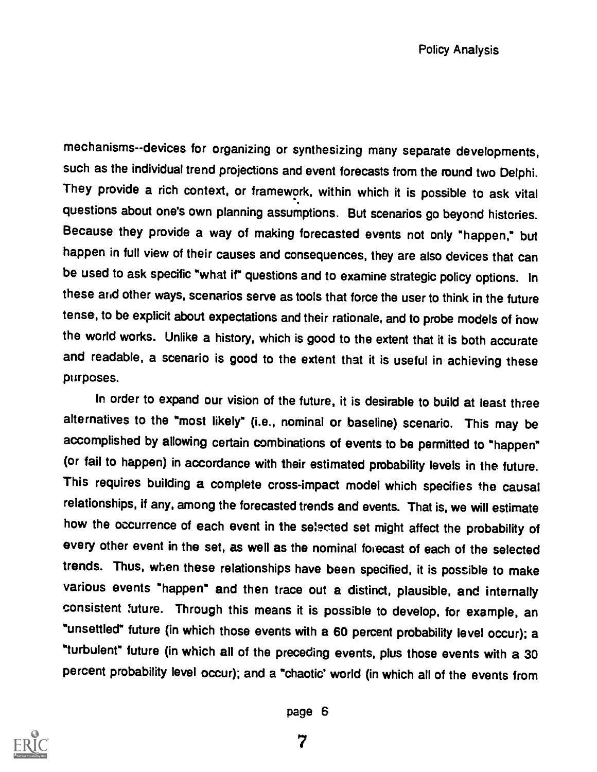mechanisms--devices for organizing or synthesizing many separate developments, such as the individual trend projections and event forecasts from the round two Delphi. They provide a rich context, or framework, within which it is possible to ask vital questions about one's own planning assumptions. But scenarios go beyond histories. Because they provide a way of making forecasted events not only "happen," but happen in full view of their causes and consequences, they are also devices that can be used to ask specific "what if" questions and to examine strategic policy options. In these arid other ways, scenarios serve as tools that force the user to think in the future tense, to be explicit about expectations and their rationale, and to probe models of how the world works. Unlike a history, which is good to the extent that it is both accurate and readable, a scenario is good to the extent that it is useful in achieving these purposes.

In order to expand our vision of the future, it is desirable to build at least three alternatives to the "most likely" (i.e., nominal or baseline) scenario. This may be accomplished by allowing certain combinations of events to be permitted to °happen" (or fail to happen) in accordance with their estimated probability levels in the future. This requires building a complete cross-impact model which specifies the causal relationships, if any, among the forecasted trends and events. That is, we will estimate how the occurrence of each event in the selected set might affect the probability of every other event in the set, as well as the nominal forecast of each of the selected trends. Thus, when these relationships have been specified, it is possible to make various events "happen" and then trace out a distinct, plausible, and internally consistent future. Through this means it is possible to develop, for example, an "unsettled" future (in which those events with a 60 percent probability level occur); a "turbulent" future (in which all of the preceding events, plus those events with a 30 percent probability level occur); and a "chaotic' world (in which all of the events from



page 6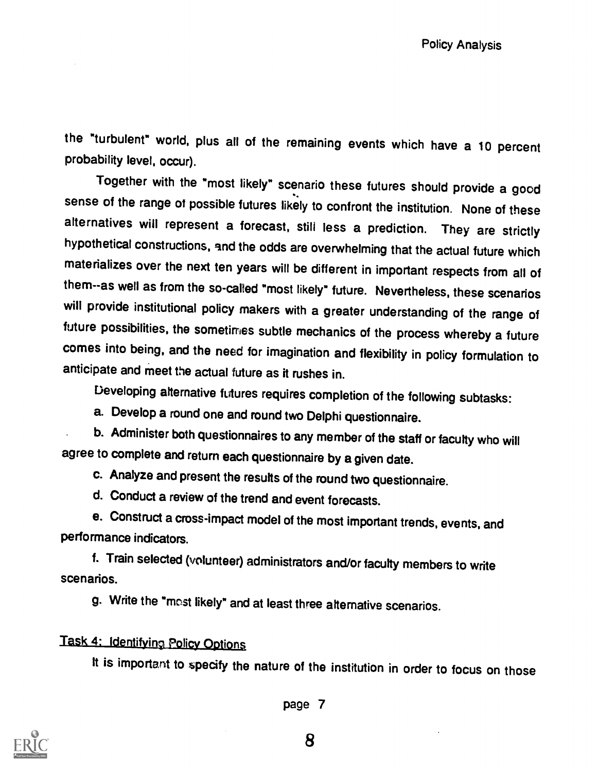the "turbulent" world, plus all of the remaining events which have a 10 percent probability level, occur).

Together with the "most likely" scenario these futures should provide a good sense of the range of possible futures likely to confront the institution. None of these alternatives will represent a forecast, still less a prediction. They are strictly hypothetical constructions, and the odds are overwhelming that the actual future which materializes over the next ten years will be different in important respects from all of them--as well as from the so-called "most likely" future. Nevertheless, these scenarios will provide institutional policy makers with a greater understanding of the range of future possibilities, the sometimes subtle mechanics of the process whereby a future comes into being, and the need for imagination and flexibility in policy formulation to anticipate and meet the actual future as it rushes in.

Developing alternative futures requires completion of the following subtasks:

a. Develop a round one and round two Delphi questionnaire.

b. Administer both questionnaires to any member of the staff or faculty who will agree to complete and return each questionnaire by a given date.

c. Analyze and present the results of the round two questionnaire.

d. Conduct a review of the trend and event forecasts.

e. Construct a cross-impact model of the most important trends, events, and performance indicators.

f. Train selected (volunteer) administrators and/or faculty members to write scenarios.

g. Write the "most likely" and at least three alternative scenarios.

# Task 4: Identifying Policy Options

It is important to specify the nature of the institution in order to focus on those



page 7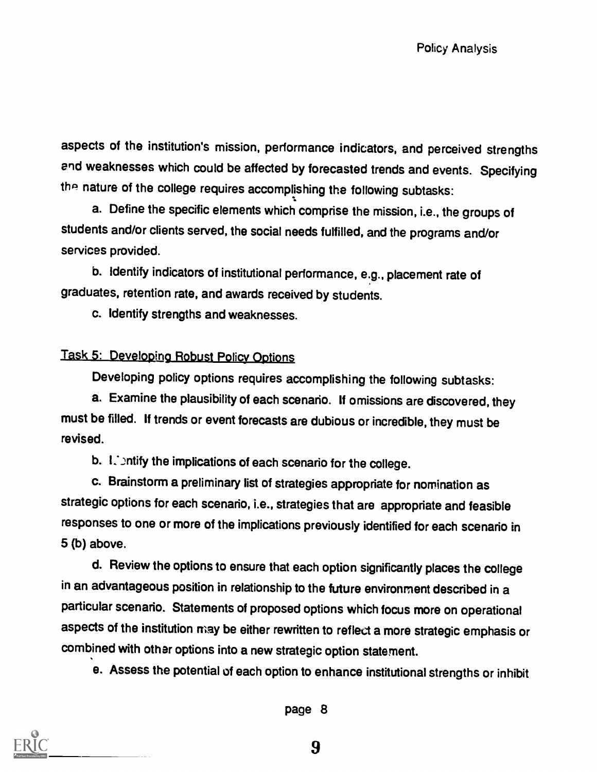aspects of the institution's mission, performance indicators, and perceived strengths end weaknesses which could be affected by forecasted trends and events. Specifying the nature of the college requires accomplishing the following subtasks:

a. Define the specific elements which comprise the mission, i.e., the groups of students and/or clients served, the social needs fulfilled, and the programs and/or services provided.

b. Identify indicators of institutional performance, e.g., placement rate of graduates, retention rate, and awards received by students.

c. Identify strengths and weaknesses.

## Task 5: Developing Robust Policy Options

Developing policy options requires accomplishing the following subtasks:

a. Examine the plausibility of each scenario. If omissions are discovered, they must be filled. If trends or event forecasts are dubious or incredible, they must be revised.

b.  $L$  intify the implications of each scenario for the college.

c. Brainstorm a preliminary list of strategies appropriate for nomination as strategic options for each scenario, i.e., strategies that are appropriate and feasible responses to one or more of the implications previously identified for each scenario in 5 (b) above.

d. Review the options to ensure that each option significantly places the college in an advantageous position in relationship to the future environment described in a particular scenario. Statements of proposed options which focus more on operational aspects of the institution may be either rewritten to reflect a more strategic emphasis or combined with other options into a new strategic option statement.

e. Assess the potential of each option to enhance institutional strengths or inhibit



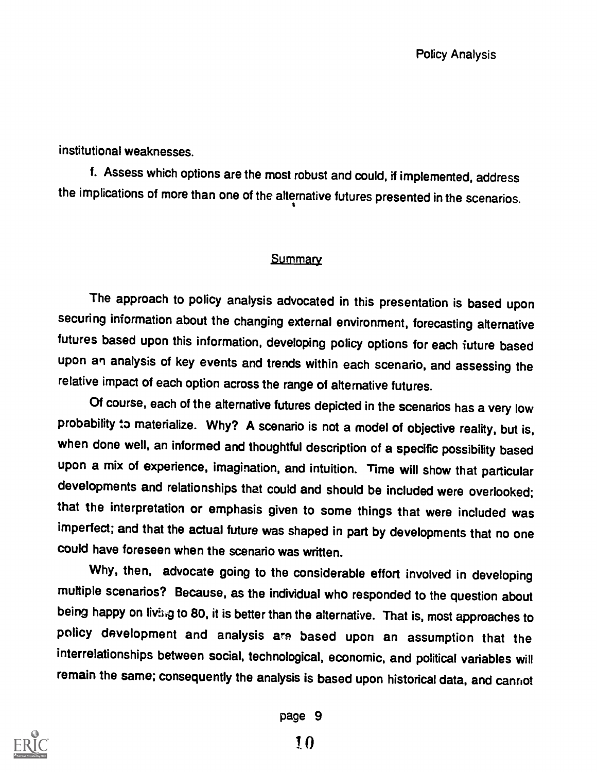institutional weaknesses.

f. Assess which options are the most robust and could, if implemented, address the implications of more than one of the alternative futures presented in the scenarios.

#### **Summary**

The approach to policy analysis advocated in this presentation is based upon securing information about the changing external environment, forecasting alternative futures based upon this information, developing policy options for each future based upon an analysis of key events and trends within each scenario, and assessing the relative impact of each option across the range of alternative futures.

Of course, each of the alternative futures depicted in the scenarios has a very low probability to materialize. Why? A scenario is not a model of objective reality, but is, when done well, an informed and thoughtful description of a specific possibility based upon a mix of experience, imagination, and intuition. Time will show that particular developments and relationships that could and should be included were overlooked; that the interpretation or emphasis given to some things that were included was imperfect; and that the actual future was shaped in part by developments that no one could have foreseen when the scenario was written.

Why, then, advocate going to the considerable effort involved in developing multiple scenarios? Because, as the individual who responded to the question about being happy on living to 80, it is better than the alternative. That is, most approaches to policy development and analysis are based upon an assumption that the interrelationships between social, technological, economic, and political variables will remain the same; consequently the analysis is based upon historical data, and cannot



page 9